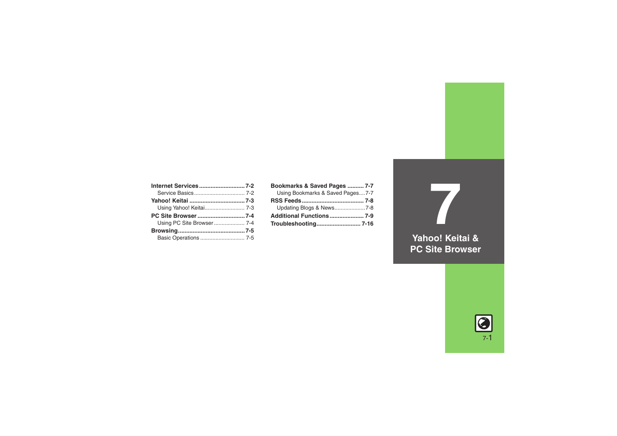| Internet Services7-2    |  |
|-------------------------|--|
|                         |  |
|                         |  |
| Using Yahoo! Keitai 7-3 |  |
|                         |  |
|                         |  |
|                         |  |
|                         |  |

| Bookmarks & Saved Pages  7-7     |  |
|----------------------------------|--|
| Using Bookmarks & Saved Pages7-7 |  |
|                                  |  |
| Updating Blogs & News7-8         |  |
|                                  |  |
|                                  |  |

**Yahoo! Keitai & PC Site Browser**

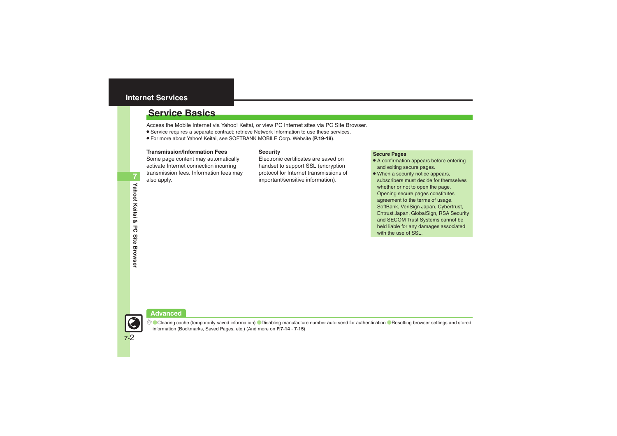### <span id="page-1-0"></span>**Internet Services**

### <span id="page-1-1"></span>**Service Basics**

Access the Mobile Internet via Yahoo! Keitai, or view PC Internet sites via PC Site Browser.

- . Service requires a separate contract; retrieve Network Information to use these services.
- . For more about Yahoo! Keitai, see SOFTBANK MOBILE Corp. Website (**P.19-18**).

#### **Transmission/Information Fees**

Some page content may automatically activate Internet connection incurring transmission fees. Information fees may also apply.

#### **Security**

Electronic certificates are saved on handset to support SSL (encryption protocol for Internet transmissions of important/sensitive information).

#### **Secure Pages**

- A confirmation appears before entering and exiting secure pages.
- When a security notice appears, subscribers must decide for themselves whether or not to open the page. Opening secure pages constitutes agreement to the terms of usage. SoftBank, VeriSign Japan, Cybertrust, Entrust Japan, GlobalSign, RSA Security and SECOM Trust Systems cannot be held liable for any damages associated with the use of SSL.

### **Advanced**



 $\overset{\text{\tiny{def}}}{\diamond}$  [Clearing cache \(temporarily saved information\)](#page-13-0) C[Disabling manufacture number auto send for authentication](#page-14-0) CResetting browser settings and stored [information \(Bookmarks, Saved Pages, etc.\)](#page-14-1) (And more on **[P.7-14](#page-13-0)** - **[7-15](#page-14-1)**)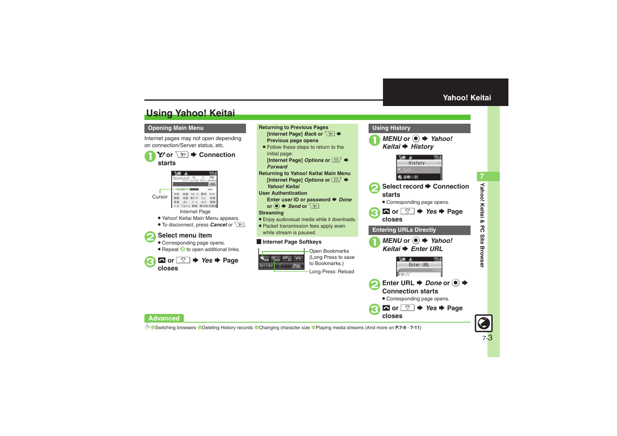## <span id="page-2-1"></span>**Using Yahoo! Keitai**

#### **Opening Main Menu**

Internet pages may not open depending on connection/Server status, etc.

 $\mathbf 0$  $\mathbf{Y}$  or  $\overline{\mathbf{Y}'}$   $\blacktriangleright$  Connection **starts**



Internet Page

- . Yahoo! Keitai Main Menu appears.
- To disconnect, press **Cancel** or  $\boxed{Y}$ .

### 2**Select menu item**

- . Corresponding page opens.
- Repeat  $\odot$  to open additional links.





Long Press: Reload

<span id="page-2-0"></span>**Using History**

■ *MENU* or **●** *≯* **Yahoo!** *Keitai*S *History*



- **◯ Select record → Connection starts**
	- . Corresponding page opens.





 $\bm{\Theta}$ 

**closes**



- **2** Enter URL **♦** Done or **●** ♦ **Connection starts**
	- . Corresponding page opens.  $\bullet$  or  $\circledcirc$   $\bullet$  *Yes*  $\bullet$  Page

**Advanced**

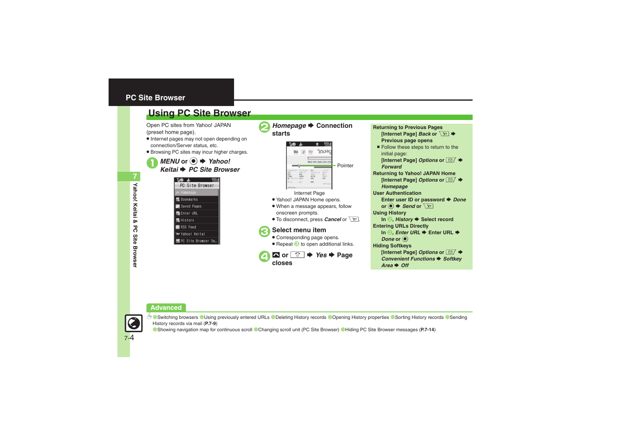### <span id="page-3-0"></span>**PC Site Browser**

### <span id="page-3-1"></span>**Using PC Site Browser**

Open PC sites from Yahoo! JAPAN (preset home page).

- . Internet pages may not open depending on connection/Server status, etc.
- . Browsing PC sites may incur higher charges.

*MENU* or ● *Yahoo! i* ➡ PC Site Browser

| <b>THE &amp;</b>            |
|-----------------------------|
| PC Site Browser             |
| <b>A</b> Homepage           |
| <b>B</b> Bookmarks          |
| Saved Pages                 |
| ■ Enter URL                 |
| <b>图 History</b>            |
| RSS Feed                    |
| <b>W</b> Yahoo! Keitai      |
| <b>B</b> PC Site Browser Se |
|                             |



#### **Returning to Previous Pages [Internet Page]** *Back* **or**  $\sqrt{Y}$  $\rightarrow$ **Previous page opens** ■ Follow these steps to return to the initial page: **Internet Page1 Options or**  $\boxed{\text{ }}$  $\blacktriangleright$ *Forward***Returning to Yahoo! JAPAN Home Internet Page1 Options or**  $\boxed{\text{ }}$  $\blacktriangleright$ *Homepage* **User AuthenticationEnter user ID or password**  $\blacktriangleright$ *Done*  $or$   $\left( \bullet \right) \bullet$  *Send* or  $\sqrt{x}$ **Using History In <sup>2</sup>,** *History* **→ Select record Entering URLs Directly In 2. Enter URL → Enter URL →** *Done* or  $\odot$ **Hiding Softkeys [Internet Page] Options or**  $\boxed{\text{S}$  **♦ Convenient Functions → Softkey** *Area* ➡ *Off*

#### **Advanced**



7-4

**C** [Switching browsers](#page-8-1) **C**[Using previously entered URLs](#page-8-3) C[Deleting History records](#page-8-2) C[Opening History properties](#page-8-4) C[Sorting History records](#page-8-5) CSending [History records via mail](#page-8-6) (**[P.7-9](#page-8-1)**)

([Showing navigation map for continuous scroll](#page-13-1) ([Changing scroll unit \(PC Site Browser\)](#page-13-2) ([Hiding PC Site Browser messages](#page-13-3) (**[P.7-14](#page-13-3)**)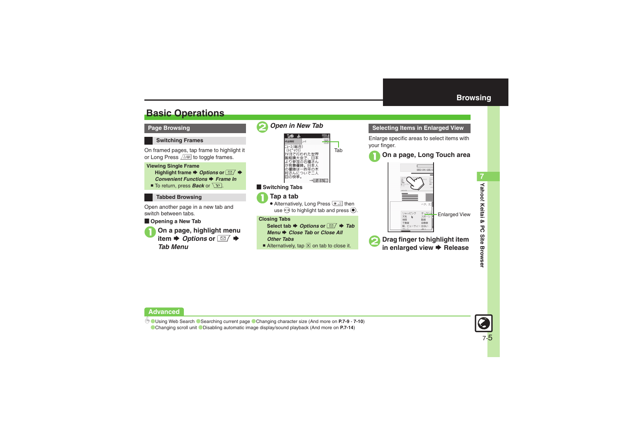### <span id="page-4-1"></span>**Basic Operations**



#### <span id="page-4-0"></span>**Selecting Items in Enlarged View**

Enlarge specific areas to select items with your finger.

### 1**On a page, Long Touch area**







b **C[Using Web Search](#page-8-7) C[Searching current page](#page-8-8) C[Changing character size](#page-9-0) (And more on [P.7-9](#page-8-7) - [7-10](#page-9-0)) [Changing scroll unit](#page-13-4) Colsabling automatic image display/sound playback (And more on [P.7-14](#page-13-4))** 

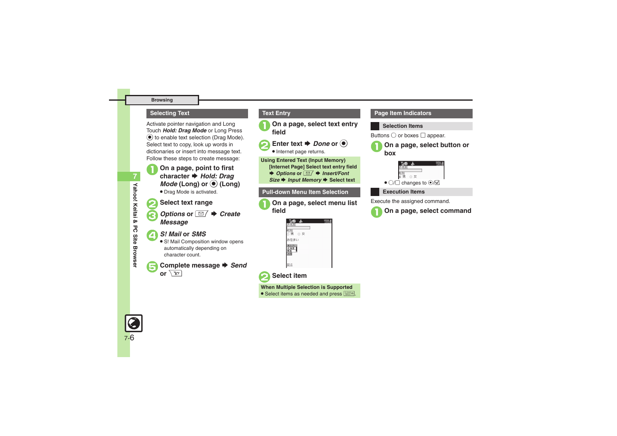#### **Browsing**

#### **Selecting Text Text Entry**

Activate pointer navigation and Long Touch *Hold: Drag Mode* or Long Press  $\odot$  to enable text selection (Drag Mode). Select text to copy, look up words in dictionaries or insert into message text. Follow these steps to create message:



**1** On a page, point to first character **→** *Hold: Drag Mode* (Long) or  $\odot$  (Long)

. Drag Mode is activated.

### 2**Select text range**

*Options* or **■ →** *Create Message* 

### 4*S! Mail* **or** *SMS* .

• S! Mail Composition window opens automatically depending on character count.

**Complete message → Send** or  $\overline{X}$ 

1**On a page, select text entry field**

Enter text  $\rightarrow$  *Done* or  $\odot$ 



 $\bullet$  Internet page returns.

**Using Entered Text (Input Memory)**

**[Internet Page] Select text entry field** 

◆ *Options* or **E A** *Insert*/Font

*Size* ➡ *Input Memory* ➡ Select text

#### **Pull-down Menu Item Selection**

1**On a page, select menu list field**

| お名前     |  |
|---------|--|
| ◎女<br>男 |  |
| お住まい    |  |
|         |  |
| శ       |  |

### 2**Select item**

**When Multiple Selection is Supported**

• Select items as needed and press **| 迷想** .

#### **Page Item Indicators**

#### **Selection Items**

Buttons  $\bigcirc$  or boxes  $\Box$  appear.





#### **Execution Items**

Execute the assigned command.



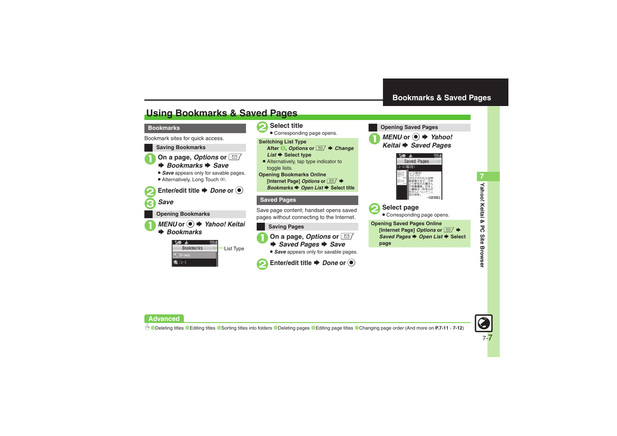### <span id="page-6-1"></span>**Using Bookmarks & Saved Pages**

#### **Bookmarks**

Bookmark sites for quick access.





<span id="page-6-0"></span>**Opening Saved Pages**





2**Select page**

. Corresponding page opens.

**Opening Saved Pages Online [Internet Page]** *Options* **or**  BSSaved Pages **→** Open List → Select

**Yahoo! Keitai & PC Site Browser 7** Yahoo! Keitai & PC **Site Browse** 



**Advanced**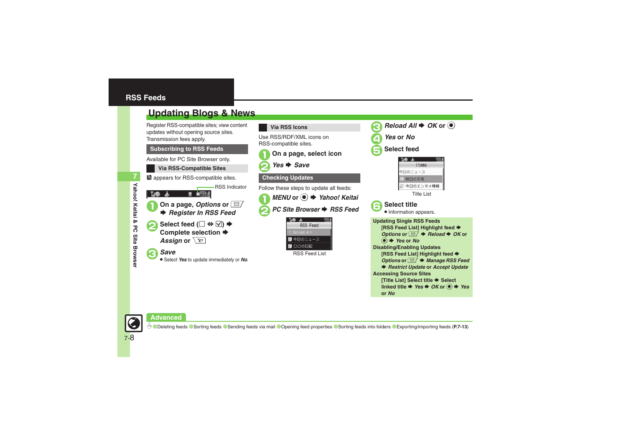<span id="page-7-1"></span><span id="page-7-0"></span>

**or** *No*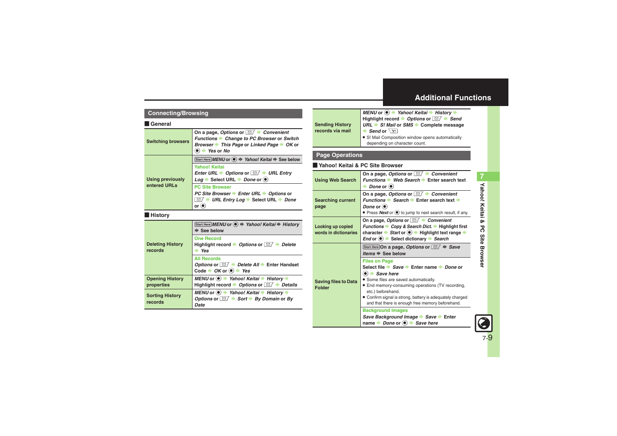### <span id="page-8-0"></span>**Additional Functions**

#### **Connecting/Browsing**

#### [ **General**

<span id="page-8-5"></span><span id="page-8-4"></span><span id="page-8-3"></span><span id="page-8-2"></span><span id="page-8-1"></span>

| <b>Switching browsers</b>          | On a page, Options or $\Box$ $\blacktriangleright$ Convenient<br>Functions Change to PC Browser or Switch<br>Browser → This Page or Linked Page → OK or<br>$\bullet$ $\bullet$ Yes or No                      |  |  |
|------------------------------------|---------------------------------------------------------------------------------------------------------------------------------------------------------------------------------------------------------------|--|--|
|                                    | Start Here MENU or ● → Yahoo! Keitai → See below                                                                                                                                                              |  |  |
| <b>Using previously</b>            | <b>Yahoo! Keitai</b><br>Enter URL $\rightarrow$ Options or $\boxed{\cong}$ $\rightarrow$ URL Entry<br>$Log \rightarrow Select \text{ URL} \rightarrow Done \text{ or } \textcircled{\textcircled{\textcirc}}$ |  |  |
| entered URLs                       | <b>PC Site Browser</b>                                                                                                                                                                                        |  |  |
|                                    | PC Site Browser → Enter URL → Options or                                                                                                                                                                      |  |  |
|                                    | $\Box$ $\rightarrow$ URL Entry Log $\rightarrow$ Select URL $\rightarrow$ Done                                                                                                                                |  |  |
|                                    | or $\odot$                                                                                                                                                                                                    |  |  |
| <b>History</b>                     |                                                                                                                                                                                                               |  |  |
| <b>Deleting History</b><br>records | Start Here MENU or (●) → Yahoo! Keitai → History<br>$\Rightarrow$ See below                                                                                                                                   |  |  |
|                                    | <b>One Record</b><br>Highlight record $\rightarrow$ Options or $\boxed{\cong}$ $\rightarrow$ Delete<br>$\Rightarrow$ Yes                                                                                      |  |  |
|                                    | <b>All Records</b><br>Options or $\boxed{\simeq}$ $\blacktriangleright$ Delete All $\blacktriangleright$ Enter Handset<br>Code $\rightarrow$ OK or $\circledast$ $\rightarrow$ Yes                            |  |  |
| <b>Opening History</b>             | MENU or $\bullet$ $\bullet$ Yahoo! Keitai $\bullet$ History $\bullet$                                                                                                                                         |  |  |
| properties                         | Highlight record $\rightarrow$ Options or $\Box$ $\rightarrow$ Details                                                                                                                                        |  |  |
| <b>Sorting History</b><br>records  | MENU or $\odot \rightarrow$ Yahoo! Keitai $\rightarrow$ History $\rightarrow$<br>Options or $\boxed{\simeq}$ $\blacktriangleright$ Sort $\blacktriangleright$ By Domain or By<br>Date                         |  |  |

<span id="page-8-6"></span>

|                                                                                           | MENU or ● → Yahoo! Keitai → History →                                         |  |
|-------------------------------------------------------------------------------------------|-------------------------------------------------------------------------------|--|
|                                                                                           | Highlight record $\rightarrow$ Options or $\boxed{\simeq}$ $\rightarrow$ Send |  |
| $URL \rightarrow SI$ Mail or SMS $\rightarrow$ Complete message<br><b>Sending History</b> |                                                                               |  |
| records via mail                                                                          | $\blacktriangleright$ Send or $\boxed{Y}$                                     |  |
|                                                                                           | • S! Mail Composition window opens automatically                              |  |
|                                                                                           | depending on character count.                                                 |  |

#### **Page Operations**

#### [ **Yahoo! Keitai & PC Site Browser**

<span id="page-8-8"></span><span id="page-8-7"></span>

| <b>Using Web Search</b>                      | On a page, Options or $\Box$ $\rightarrow$ Convenient<br>Functions → Web Search → Enter search text<br>$\rightarrow$ Done or $\left(\bullet\right)$                                                                                                                                                                                                                       |
|----------------------------------------------|---------------------------------------------------------------------------------------------------------------------------------------------------------------------------------------------------------------------------------------------------------------------------------------------------------------------------------------------------------------------------|
| <b>Searching current</b><br>page             | On a page, Options or $\Box$ $\rightarrow$ Convenient<br>Functions Search Criter search text<br>Done or $\odot$<br>• Press <b>Next</b> or $\odot$ to jump to next search result, if any.                                                                                                                                                                                  |
| Looking up copied<br>words in dictionaries   | On a page, Options or <b><i>im</i></b> → Convenient<br>Functions → Copy & Search Dict. → Highlight first<br>character → Start or <sup>●</sup> Highlight text range →<br>End or $\odot$ $\rightarrow$ Select dictionary $\rightarrow$ Search                                                                                                                               |
| <b>Saving files to Data</b><br><b>Folder</b> | Start Here On a page, Options or $\boxed{\simeq}$ $\Rightarrow$ Save<br>Items $\Rightarrow$ See below                                                                                                                                                                                                                                                                     |
|                                              | <b>Files on Page</b><br>Select file $\Rightarrow$ Save $\Rightarrow$ Enter name $\Rightarrow$ Done or<br>$\bullet$ $\bullet$ Save here<br>• Some files are saved automatically.<br>• End memory-consuming operations (TV recording,<br>etc.) beforehand.<br>• Confirm signal is strong, battery is adequately charged<br>and that there is enough free memory beforehand. |
|                                              | <b>Background Images</b><br>Save Background Image Save Enter<br>name $\rightarrow$ Done or $\left( \bullet \right) \rightarrow$ Save here                                                                                                                                                                                                                                 |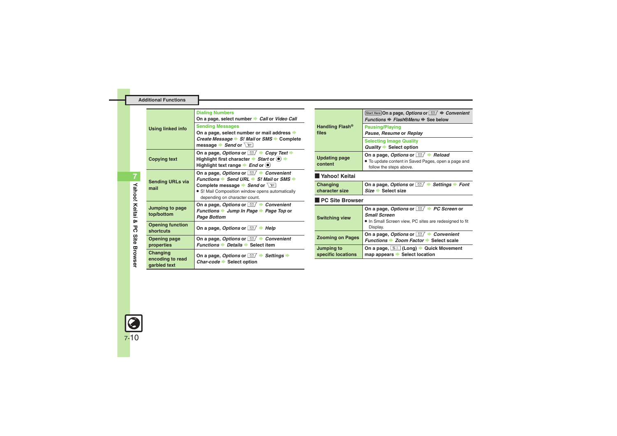|                                              | <b>Dialing Numbers</b><br>On a page, select number Call or Video Call                                                                                                                                                                          |  |
|----------------------------------------------|------------------------------------------------------------------------------------------------------------------------------------------------------------------------------------------------------------------------------------------------|--|
| <b>Using linked info</b>                     | <b>Sending Messages</b><br>On a page, select number or mail address $\rightarrow$<br>Create Message S! Mail or SMS Complete<br>message $\blacktriangleright$ Send or $\boxed{Y}$                                                               |  |
| <b>Copying text</b>                          | On a page, Options or $\Box$ $\rightarrow$ Copy Text $\rightarrow$<br>Highlight first character $\rightarrow$ Start or $\circledcirc$ $\rightarrow$<br>Highlight text range $\blacktriangleright$ <i>End</i> or $\blacklozenge$                |  |
| <b>Sending URLs via</b><br>mail              | On a page, Options or $\Box$ $\rightarrow$ Convenient<br>Functions Send URL $\rightarrow$ S! Mail or SMS $\rightarrow$<br>Complete message Send or $\chi$<br>• S! Mail Composition window opens automatically<br>depending on character count. |  |
| Jumping to page<br>top/bottom                | On a page, Options or $\Box$ $\blacktriangleright$ Convenient<br>Functions → Jump In Page → Page Top or<br>Page Bottom                                                                                                                         |  |
| <b>Opening function</b><br>shortcuts         | On a page, Options or $\Box$ + Help                                                                                                                                                                                                            |  |
| <b>Opening page</b><br>properties            | On a page, Options or $\Box$ $\rightarrow$ Convenient<br><i>Functions ▶ Details ▶ Select item</i>                                                                                                                                              |  |
| Changing<br>encoding to read<br>garbled text | On a page, Options or $\Box$ $\blacktriangleright$ Settings $\blacktriangleright$<br>Char-code Select option                                                                                                                                   |  |

<span id="page-9-0"></span>

|                                      | Start Here On a page, Options or $\Box/\blacktriangleright$ Convenient<br><i>Functions → Flash®Menu → See below</i>                                  |  |
|--------------------------------------|------------------------------------------------------------------------------------------------------------------------------------------------------|--|
| Handling Flash <sup>®</sup><br>files | <b>Pausing/Playing</b><br>Pause, Resume or Replay                                                                                                    |  |
|                                      | <b>Selecting Image Quality</b><br><b>Quality Select option</b>                                                                                       |  |
| <b>Updating page</b><br>content      | On a page, Options or $\Box$ $\blacktriangleright$ Reload<br>• To update content in Saved Pages, open a page and<br>follow the steps above.          |  |
| l Yahoo! Keitai                      |                                                                                                                                                      |  |
| Changing<br>character size           | On a page, Options or $\Box$ $\blacktriangleright$ Settings $\blacktriangleright$ Font<br>$Size \rightarrow Select size$                             |  |
| <b>PC Site Browser</b>               |                                                                                                                                                      |  |
| <b>Switching view</b>                | On a page, Options or $\Box$ $\rightarrow$ PC Screen or<br><b>Small Screen</b><br>. In Small Screen view, PC sites are redesigned to fit<br>Display. |  |
| <b>Zooming on Pages</b>              | On a page, Options or $\Box$ $\blacktriangleright$ Convenient<br>Functions → Zoom Factor → Select scale                                              |  |
| Jumping to<br>specific locations     | On a page, [5≛] (Long) → Quick Movement<br>map appears Select location                                                                               |  |

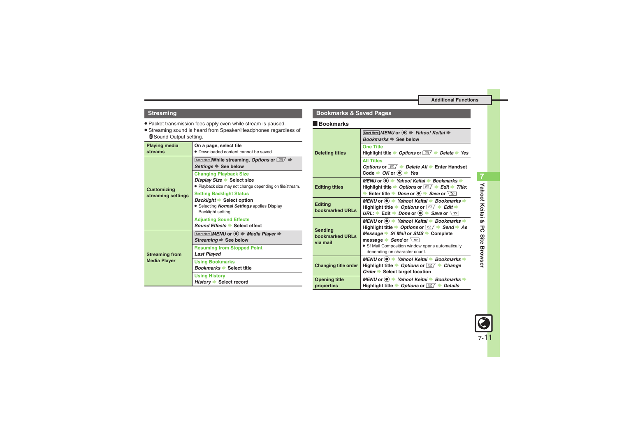#### **Streaming**

- . Packet transmission fees apply even while stream is paused.
- . Streaming sound is heard from Speaker/Headphones regardless of **B** Sound Output setting.

<span id="page-10-0"></span>

| <b>Playing media</b><br>streams              | On a page, select file<br>• Downloaded content cannot be saved.                                                                 |  |  |
|----------------------------------------------|---------------------------------------------------------------------------------------------------------------------------------|--|--|
| <b>Customizing</b><br>streaming settings     | Start Here While streaming, Options or $\Box$ $\Rightarrow$<br>Settings $\Rightarrow$ See below                                 |  |  |
|                                              | <b>Changing Playback Size</b><br>Display Size Select size<br>Playback size may not change depending on file/stream.             |  |  |
|                                              | <b>Setting Backlight Status</b><br>Backlight Select option<br>· Selecting Normal Settings applies Display<br>Backlight setting. |  |  |
|                                              | <b>Adjusting Sound Effects</b><br>Sound Effects Select effect                                                                   |  |  |
| <b>Streaming from</b><br><b>Media Player</b> | Start Here MENU or $\left( \bullet \right) \Rightarrow$ Media Player $\Rightarrow$<br>Streaming $\Rightarrow$ See below         |  |  |
|                                              | <b>Resuming from Stopped Point</b><br><b>Last Played</b>                                                                        |  |  |
|                                              | <b>Using Bookmarks</b><br><i>Bookmarks</i> → Select title                                                                       |  |  |
|                                              | <b>Using History</b><br>History Select record                                                                                   |  |  |

#### **Bookmarks & Saved Pages**

#### [ **Bookmarks**

<span id="page-10-2"></span><span id="page-10-1"></span>

| <b>Deleting titles</b>                        | Start Here MENU or $\textcircled{\textcircled{\textcirc}} \Rightarrow$ Yahoo! Keitai $\Rightarrow$<br>Bookmarks → See below                                                                                                                                                                                                                   |
|-----------------------------------------------|-----------------------------------------------------------------------------------------------------------------------------------------------------------------------------------------------------------------------------------------------------------------------------------------------------------------------------------------------|
|                                               | <b>One Title</b><br>Highlight title $\rightarrow$ Options or $\boxed{\cong}$ $\rightarrow$ Delete $\rightarrow$ Yes                                                                                                                                                                                                                           |
|                                               | <b>All Titles</b><br>Options or $\boxed{\cong}$ $\rightarrow$ Delete All $\rightarrow$ Enter Handset<br>Code $\rightarrow OK$ or $\odot \rightarrow Yes$                                                                                                                                                                                      |
| <b>Editing titles</b>                         | MENU or $\bullet$ $\bullet$ Yahoo! Keitai $\bullet$ Bookmarks $\bullet$<br>Highlight title $\rightarrow$ Options or $\boxed{\simeq}$ $\rightarrow$ Edit $\rightarrow$ Title:<br>Enter title $\rightarrow$ Done or $\odot \rightarrow$ Save or $\boxed{Y}$                                                                                     |
| <b>Editing</b><br>bookmarked URLs             | MENU or $\textcircled{\textcircled{\textcirc}}$ Yahoo! Keitai $\textbullet$ Bookmarks $\textbullet$<br>Highlight title $\rightarrow$ Options or $\Box / \rightarrow$ Edit $\rightarrow$<br>URL: $\rightarrow$ Edit $\rightarrow$ Done or $\odot$ $\rightarrow$ Save or $\boxed{Y}$                                                            |
| <b>Sending</b><br>bookmarked URLs<br>via mail | MENU or $\odot$ $\rightarrow$ Yahoo! Keitai $\rightarrow$ Bookmarks $\rightarrow$<br>Highlight title $\rightarrow$ Options or $\boxed{\simeq}$ $\rightarrow$ Send $\rightarrow$ As<br>Message → S! Mail or SMS → Complete<br>message Send or $\boxed{Y}$<br>• S! Mail Composition window opens automatically<br>depending on character count. |
| <b>Changing title order</b>                   | MENU or  Yahoo! Keitai → Bookmarks →<br>Highlight title $\rightarrow$ Options or $\Box$ $\rightarrow$ Change<br>Order Select target location                                                                                                                                                                                                  |
| <b>Opening title</b><br>properties            | MENU or $\bullet$ $\bullet$ Yahoo! Keitai $\bullet$ Bookmarks $\bullet$<br>Highlight title $\rightarrow$ Options or $\Box / \rightarrow$ Details                                                                                                                                                                                              |

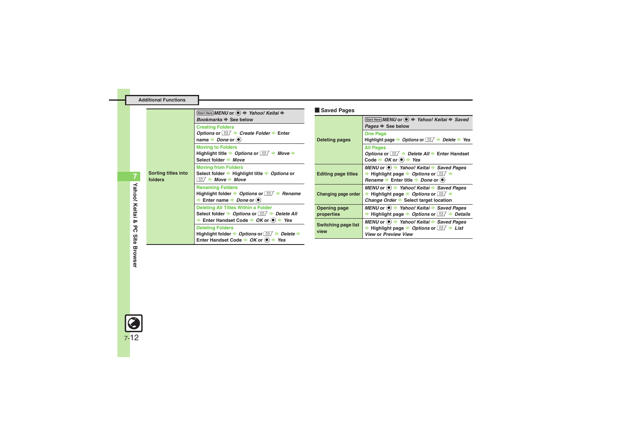| <b>Additional Functions</b> |  |  |
|-----------------------------|--|--|
|                             |  |  |

<span id="page-11-3"></span><span id="page-11-2"></span><span id="page-11-1"></span><span id="page-11-0"></span>

|                                       | Start Here MENU or $\textcircled{\textcircled{\scriptsize{*}}}$ Yahoo! Keitai $\textup{\textcircled{\scriptsize{*}}}$                                                                                                                                                                        | Saved Pages                        |                                                                                                                                                                                            |
|---------------------------------------|----------------------------------------------------------------------------------------------------------------------------------------------------------------------------------------------------------------------------------------------------------------------------------------------|------------------------------------|--------------------------------------------------------------------------------------------------------------------------------------------------------------------------------------------|
| <b>Sorting titles into</b><br>folders | Bookmarks $\Rightarrow$ See below<br><b>Creating Folders</b>                                                                                                                                                                                                                                 | <b>Deleting pages</b>              | Start Here MENU or $\textcircled{\textcircled{\textcirc}} \Rightarrow$ Yahoo! Keitai $\Rightarrow$ Saved<br>Pages $\Rightarrow$ See below                                                  |
|                                       | Options or $\Box$ $\rightarrow$ Create Folder $\rightarrow$ Enter<br>name $\rightarrow$ <i>Done</i> or $\odot$                                                                                                                                                                               |                                    | <b>One Page</b><br>Highlight page $\rightarrow$ Options or $\Box / \rightarrow$ Delete $\rightarrow$ Yes                                                                                   |
|                                       | <b>Moving to Folders</b><br>Highlight title $\rightarrow$ Options or $\boxed{\simeq}$ $\rightarrow$ Move $\rightarrow$<br>Select folder → Move                                                                                                                                               |                                    | <b>All Pages</b><br>Options or $\Box / \rightarrow$ Delete All $\rightarrow$ Enter Handset<br>Code $\rightarrow$ OK or $\bullet$ $\rightarrow$ Yes                                         |
|                                       | <b>Moving from Folders</b><br>Select folder → Highlight title → Options or<br>$\Box / \rightarrow$ Move $\rightarrow$ Move                                                                                                                                                                   | <b>Editing page titles</b>         | MENU or $\bullet$ $\bullet$ Yahoo! Keitai $\bullet$ Saved Pages<br>→ Highlight page → Options or $\Box$ →<br>Rename $\rightarrow$ Enter title $\rightarrow$ Done or $\left(\bullet\right)$ |
|                                       | <b>Renaming Folders</b><br>Highlight folder $\rightarrow$ Options or $\boxed{\cong}$ $\rightarrow$ Rename<br>Enter name $\rightarrow$ Done or $\odot$                                                                                                                                        | <b>Changing page order</b>         | MENU or $\bullet$ $\bullet$ Yahoo! Keitai $\bullet$ Saved Pages<br>→ Highlight page → Options or $\Box$ →<br>Change Order Select target location                                           |
|                                       | <b>Deleting All Titles Within a Folder</b><br>Select folder $\rightarrow$ Options or $\boxed{\cong}$ $\rightarrow$ Delete All                                                                                                                                                                | Opening page<br>properties         | MENU or $\bullet$ $\bullet$ Yahoo! Keitai $\bullet$ Saved Pages<br><b>► Highlight page ► Options or <math>\boxed{\,\simeq\,}</math> + Details</b>                                          |
|                                       | Enter Handset Code $\rightarrow$ OK or $\left( \bullet \right) \rightarrow$ Yes<br><b>Deleting Folders</b><br>Highlight folder $\rightarrow$ Options or $\boxed{\simeq}$ $\rightarrow$ Delete $\rightarrow$<br>Enter Handset Code $\rightarrow OK$ or $\left(\bullet\right) \rightarrow Yes$ | <b>Switching page list</b><br>view | MENU or $\bullet$ $\bullet$ Yahoo! Keitai $\bullet$ Saved Pages<br>→ Highlight page → Options or $\Box$ → List<br><b>View or Preview View</b>                                              |

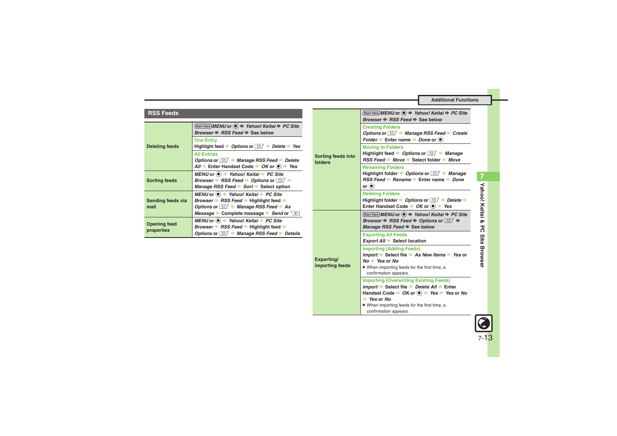#### **RSS Feeds**

<span id="page-12-3"></span><span id="page-12-2"></span><span id="page-12-1"></span><span id="page-12-0"></span>

|                       | Start Here MENU or (●) → Yahoo! Keitai → PC Site<br><i>Browser → RSS Feed → See below</i> |
|-----------------------|-------------------------------------------------------------------------------------------|
|                       | <b>One Entry</b>                                                                          |
| <b>Deleting feeds</b> | Highlight feed $\rightarrow$ Options or $\Box / \rightarrow$ Delete $\rightarrow$ Yes     |
|                       | <b>All Entries</b>                                                                        |
|                       | Options or $\Box$ $\rightarrow$ Manage RSS Feed $\rightarrow$ Delete                      |
|                       | All $\Rightarrow$ Enter Handset Code $\Rightarrow$ OK or $\circledcirc$ $\Rightarrow$ Yes |
|                       | MENU or $\circledcirc$ $\rightarrow$ Yahoo! Keitai $\rightarrow$ PC Site                  |
| <b>Sorting feeds</b>  | Browser $\blacktriangleright$ RSS Feed $\blacktriangleright$ Options or $\boxdot$         |
|                       | <i>Manage RSS Feed → Sort → Select option</i>                                             |
|                       | MENU or $\odot$ $\rightarrow$ Yahoo! Keitai $\rightarrow$ PC Site                         |
| Sending feeds via     | <i>Browser → RSS Feed →</i> Highlight feed →                                              |
| mail                  | Options or $\Box$ $\rightarrow$ Manage RSS Feed $\rightarrow$ As                          |
|                       | Message Complete message Send or $\boxed{Y}$                                              |
| <b>Opening feed</b>   | MENU or $\odot$ $\rightarrow$ Yahoo! Keitai $\rightarrow$ PC Site                         |
| properties            | Browser → RSS Feed → Highlight feed →                                                     |
|                       | Options or $\Box / \rightarrow$ Manage RSS Feed $\rightarrow$ Details                     |

<span id="page-12-5"></span><span id="page-12-4"></span>

|                               | Start Here MENU or (●) → Yahoo! Keitai → PC Site<br>Browser ♦ RSS Feed ♦ See below                                                                                                                                                                                       |
|-------------------------------|--------------------------------------------------------------------------------------------------------------------------------------------------------------------------------------------------------------------------------------------------------------------------|
|                               | <b>Creating Folders</b><br>Options or <b>⊠</b> A Manage RSS Feed Create<br>Folder $\blacktriangleright$ Enter name $\blacktriangleright$ Done or $\textcircled{\tiny{\bullet}}$                                                                                          |
| Sorting feeds into<br>folders | <b>Moving to Folders</b><br>Highlight feed $\rightarrow$ Options or $\Box$ $\rightarrow$ Manage<br>RSS Feed → Move → Select folder → Move                                                                                                                                |
|                               | <b>Renaming Folders</b><br>Highlight folder $\rightarrow$ Options or $\boxed{\,\simeq\,}$ $\rightarrow$ Manage<br>RSS Feed → Rename → Enter name → Done<br>or $\left( \bullet \right)$                                                                                   |
|                               | <b>Deleting Folders</b><br>Highlight folder $\rightarrow$ Options or $\boxed{\simeq}$ $\rightarrow$ Delete $\rightarrow$<br>Enter Handset Code $\rightarrow$ OK or $\odot$ $\rightarrow$ Yes                                                                             |
|                               | Start Here MENU or $\left( \bullet \right)$ $\Rightarrow$ Yahoo! Keitai $\Rightarrow$ PC Site<br>Browser $\Rightarrow$ RSS Feed $\Rightarrow$ Options or $\Box / \Rightarrow$<br>Manage RSS Feed → See below                                                             |
|                               | <b>Exporting All Feeds</b><br><i>Export All</i> → Select location                                                                                                                                                                                                        |
| Exporting/<br>importing feeds | <b>Importing (Adding Feeds)</b><br>Import $\Rightarrow$ Select file $\Rightarrow$ As New Items $\Rightarrow$ Yes or<br>$No \rightarrow Yes$ or No<br>. When importing feeds for the first time, a<br>confirmation appears.                                               |
|                               | <b>Importing (Overwriting Existing Feeds)</b><br><i>Import</i> → Select file → Delete All → Enter<br>Handset Code $\Rightarrow$ OK or $\circledast$ $\Rightarrow$ Yes $\Rightarrow$ Yes or No<br>$\rightarrow$ Yes or No<br>. When importing feeds for the first time, a |
|                               | confirmation appears.                                                                                                                                                                                                                                                    |



7-13

 $\bigcirc$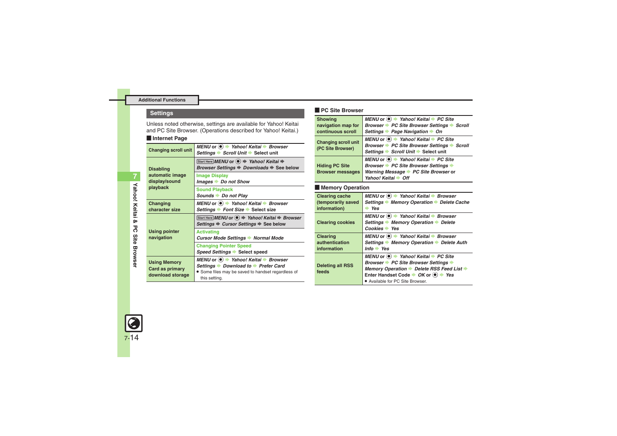### **Settings**

Unless noted otherwise, settings are available for Yahoo! Keitai and PC Site Browser. (Operations described for Yahoo! Keitai.)

<span id="page-13-5"></span><span id="page-13-4"></span>

| Internet Page                                              |                                                                                                                                                       |
|------------------------------------------------------------|-------------------------------------------------------------------------------------------------------------------------------------------------------|
| <b>Changing scroll unit</b>                                | MENU or ● → Yahoo! Keitai → Browser<br>Settings → Scroll Unit → Select unit                                                                           |
| <b>Disabling</b>                                           | Start Here MENU or $\textcircled{\textcircled{\textcirc}} \Rightarrow$ Yahoo! Keitai $\Rightarrow$<br><i>Browser Settings → Downloads → See below</i> |
| automatic image<br>display/sound                           | <b>Image Display</b><br>Images Do not Show                                                                                                            |
| playback                                                   | <b>Sound Playback</b><br>Sounds Do not Play                                                                                                           |
| Changing<br>character size                                 | MENU or ● → Yahoo! Keitai → Browser<br>Settings ▶ Font Size ▶ Select size                                                                             |
|                                                            | Start Here MENU or (●) → Yahoo! Keitai → Browser<br>Settings $\Rightarrow$ Cursor Settings $\Rightarrow$ See below                                    |
| <b>Using pointer</b><br>navigation                         | <b>Activating</b><br>Cursor Mode Settings > Normal Mode                                                                                               |
|                                                            | <b>Changing Pointer Speed</b><br>Speed Settings Select speed                                                                                          |
| <b>Using Memory</b><br>Card as primary<br>download storage | MENU or  Yahoo! Keitai → Browser<br>Settings ▶ Download to ▶ Prefer Card<br>• Some files may be saved to handset regardless of<br>this setting.       |

#### [ **PC Site Browser**

<span id="page-13-3"></span><span id="page-13-2"></span><span id="page-13-1"></span><span id="page-13-0"></span>

| <b>Showing</b><br>navigation map for<br>continuous scroll   | MENU or ● → Yahoo! Keitai → PC Site<br>Browser → PC Site Browser Settings → Scroll<br>Settings ▶ Page Navigation ▶ On                                                                                                                                                                    |
|-------------------------------------------------------------|------------------------------------------------------------------------------------------------------------------------------------------------------------------------------------------------------------------------------------------------------------------------------------------|
| <b>Changing scroll unit</b><br>(PC Site Browser)            | MENU or ● → Yahoo! Keitai → PC Site<br>Browser → PC Site Browser Settings → Scroll<br>Settings → Scroll Unit → Select unit                                                                                                                                                               |
| <b>Hiding PC Site</b><br><b>Browser messages</b>            | MENU or ● → Yahoo! Keitai → PC Site<br>Browser > PC Site Browser Settings ><br>Warning Message ▶ PC Site Browser or<br>Yahoo! Keitai ▶ Off                                                                                                                                               |
| <b>Memory Operation</b>                                     |                                                                                                                                                                                                                                                                                          |
| <b>Clearing cache</b><br>(temporarily saved<br>information) | MENU or ● → Yahoo! Keitai → Browser<br>Settings Memory Operation Delete Cache<br>$\rightarrow$ Yes                                                                                                                                                                                       |
| <b>Clearing cookies</b>                                     | MENU or ● → Yahoo! Keitai → Browser<br>Settings → Memory Operation → Delete<br>Cookies Yes                                                                                                                                                                                               |
| <b>Clearing</b><br>authentication<br>information            | MENU or ● → Yahoo! Keitai → Browser<br>Settings ▶ Memory Operation ▶ Delete Auth<br>$Info$ Yes                                                                                                                                                                                           |
| <b>Deleting all RSS</b><br>feeds                            | MENU or $\left( \bullet \right)$ $\rightarrow$ Yahoo! Keitai $\rightarrow$ PC Site<br>Browser > PC Site Browser Settings<br>Memory Operation Delete RSS Feed List →<br>Enter Handset Code $\rightarrow OK$ or $\left(\bullet\right) \rightarrow Yes$<br>• Available for PC Site Browser. |

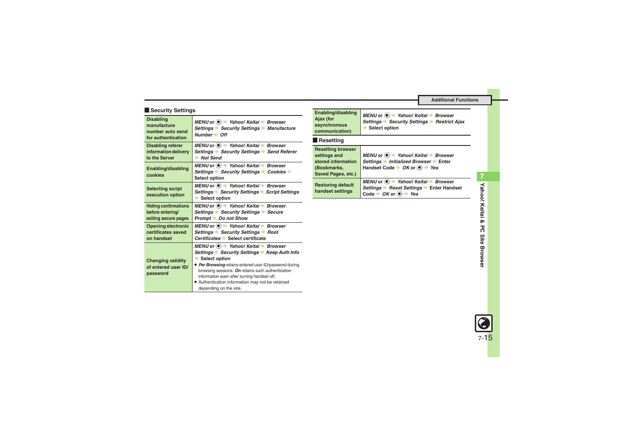#### **Execurity Settings**

<span id="page-14-0"></span>

| <b>Disabling</b><br>manufacture<br>number auto send<br>for authentication | MENU or ● → Yahoo! Keitai → Browser<br>Settings → Security Settings → Manufacture<br>$Number + Off$                                                                                                                                                                                                                                                                     |
|---------------------------------------------------------------------------|-------------------------------------------------------------------------------------------------------------------------------------------------------------------------------------------------------------------------------------------------------------------------------------------------------------------------------------------------------------------------|
| <b>Disabling referer</b><br>information delivery<br>to the Server         | MENU or (●) → Yahoo! Keitai → Browser<br>Settings Security Settings Send Referer<br>$\rightarrow$ Not Send                                                                                                                                                                                                                                                              |
| Enabling/disabling<br>cookies                                             | MENU or $\left( \bullet \right)$ $\rightarrow$ Yahoo! Keitai $\rightarrow$ Browser<br>Settings → Security Settings → Cookies →<br>Select option                                                                                                                                                                                                                         |
| <b>Selecting script</b><br>execution option                               | MENU or ● → Yahoo! Keitai → Browser<br>Settings Security Settings Script Settings<br>Select option<br>∙                                                                                                                                                                                                                                                                 |
| <b>Hiding confirmations</b><br>before entering/<br>exiting secure pages   | MENU or $\left( \bullet \right)$ $\rightarrow$ Yahoo! Keitai $\rightarrow$ Browser<br>Settings Security Settings Secure<br>Prompt Do not Show                                                                                                                                                                                                                           |
| Opening electronic<br>certificates saved<br>on handset                    | MENU or $\odot \rightarrow$ Yahoo! Keitai $\rightarrow$ Browser<br>Settings → Security Settings → Root<br>Certificates Select certificate                                                                                                                                                                                                                               |
| <b>Changing validity</b><br>of entered user ID/<br>password               | MENU or ● → Yahoo! Keitai → Browser<br>Settings → Security Settings → Keep Auth Info<br>$\blacktriangleright$ Select option<br>• Per Browsing retains entered user ID/password during<br>browsing sessions. On retains such authentication<br>information even after turning handset off.<br>· Authentication information may not be retained<br>depending on the site. |

| Enabling/disabling<br>Ajax (for<br>asynchronous<br>communication) | MENU or <sup>●</sup> <i>+ Yahoo! Keitai + Browser</i><br>Settings → Security Settings → Restrict Ajax<br>Select option |
|-------------------------------------------------------------------|------------------------------------------------------------------------------------------------------------------------|
|                                                                   |                                                                                                                        |

#### **Resetting**

<span id="page-14-1"></span>

| <b>Resetting browser</b><br>settings and<br>stored information<br>(Bookmarks,<br>Saved Pages, etc.) | MENU or ● → Yahoo! Keitai → Browser<br>Settings → Initialized Browser → Enter<br>Handset Code $\rightarrow$ OK or $\circledast$ $\rightarrow$ Yes       |
|-----------------------------------------------------------------------------------------------------|---------------------------------------------------------------------------------------------------------------------------------------------------------|
| <b>Restoring default</b><br>handset settings                                                        | MENU or ● → Yahoo! Keitai → Browser<br>Settings → Reset Settings → Enter Handset<br>Code $\rightarrow$ OK or $\textcircled{\scriptsize{\bullet}}$ + Yes |